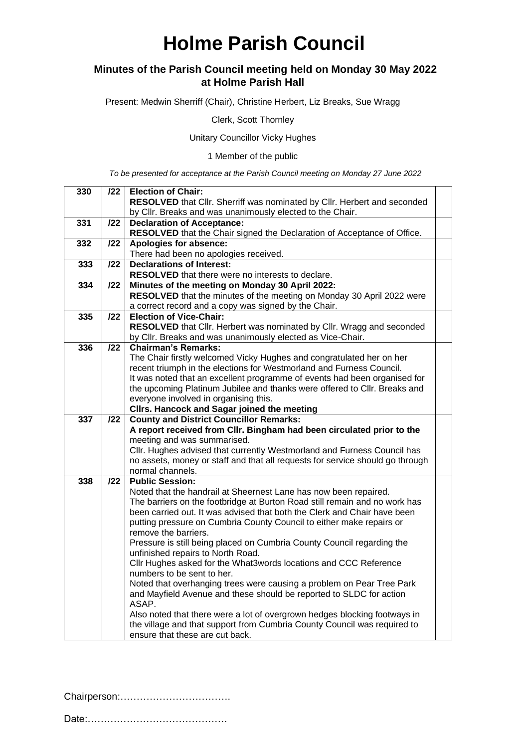## **Holme Parish Council**

#### **Minutes of the Parish Council meeting held on Monday 30 May 2022 at Holme Parish Hall**

Present: Medwin Sherriff (Chair), Christine Herbert, Liz Breaks, Sue Wragg

Clerk, Scott Thornley

Unitary Councillor Vicky Hughes

1 Member of the public

*To be presented for acceptance at the Parish Council meeting on Monday 27 June 2022*

| 330 | /22 | <b>Election of Chair:</b>                                                                                   |  |
|-----|-----|-------------------------------------------------------------------------------------------------------------|--|
|     |     | RESOLVED that Cllr. Sherriff was nominated by Cllr. Herbert and seconded                                    |  |
|     |     | by CIIr. Breaks and was unanimously elected to the Chair.                                                   |  |
| 331 | 122 | <b>Declaration of Acceptance:</b>                                                                           |  |
|     |     | RESOLVED that the Chair signed the Declaration of Acceptance of Office.                                     |  |
| 332 | 122 | Apologies for absence:                                                                                      |  |
|     |     | There had been no apologies received.                                                                       |  |
| 333 | 122 | <b>Declarations of Interest:</b>                                                                            |  |
|     |     | <b>RESOLVED</b> that there were no interests to declare.                                                    |  |
| 334 | 122 | Minutes of the meeting on Monday 30 April 2022:                                                             |  |
|     |     | RESOLVED that the minutes of the meeting on Monday 30 April 2022 were                                       |  |
|     |     | a correct record and a copy was signed by the Chair.                                                        |  |
| 335 | 122 | <b>Election of Vice-Chair:</b>                                                                              |  |
|     |     | RESOLVED that Cllr. Herbert was nominated by Cllr. Wragg and seconded                                       |  |
|     |     | by Cllr. Breaks and was unanimously elected as Vice-Chair.                                                  |  |
| 336 | 122 | <b>Chairman's Remarks:</b>                                                                                  |  |
|     |     | The Chair firstly welcomed Vicky Hughes and congratulated her on her                                        |  |
|     |     | recent triumph in the elections for Westmorland and Furness Council.                                        |  |
|     |     | It was noted that an excellent programme of events had been organised for                                   |  |
|     |     | the upcoming Platinum Jubilee and thanks were offered to Cllr. Breaks and                                   |  |
|     |     | everyone involved in organising this.                                                                       |  |
|     |     | Cllrs. Hancock and Sagar joined the meeting                                                                 |  |
|     |     |                                                                                                             |  |
| 337 | 122 | <b>County and District Councillor Remarks:</b>                                                              |  |
|     |     | A report received from Cllr. Bingham had been circulated prior to the                                       |  |
|     |     | meeting and was summarised.                                                                                 |  |
|     |     | Cllr. Hughes advised that currently Westmorland and Furness Council has                                     |  |
|     |     | no assets, money or staff and that all requests for service should go through                               |  |
|     |     | normal channels.                                                                                            |  |
| 338 | 122 | <b>Public Session:</b>                                                                                      |  |
|     |     | Noted that the handrail at Sheernest Lane has now been repaired.                                            |  |
|     |     | The barriers on the footbridge at Burton Road still remain and no work has                                  |  |
|     |     | been carried out. It was advised that both the Clerk and Chair have been                                    |  |
|     |     | putting pressure on Cumbria County Council to either make repairs or                                        |  |
|     |     | remove the barriers.                                                                                        |  |
|     |     | Pressure is still being placed on Cumbria County Council regarding the                                      |  |
|     |     | unfinished repairs to North Road.                                                                           |  |
|     |     | Cllr Hughes asked for the What3words locations and CCC Reference                                            |  |
|     |     | numbers to be sent to her.                                                                                  |  |
|     |     | Noted that overhanging trees were causing a problem on Pear Tree Park                                       |  |
|     |     | and Mayfield Avenue and these should be reported to SLDC for action                                         |  |
|     |     | ASAP.                                                                                                       |  |
|     |     | Also noted that there were a lot of overgrown hedges blocking footways in                                   |  |
|     |     | the village and that support from Cumbria County Council was required to<br>ensure that these are cut back. |  |

Chairperson:…………………………….

Date:…………………………………….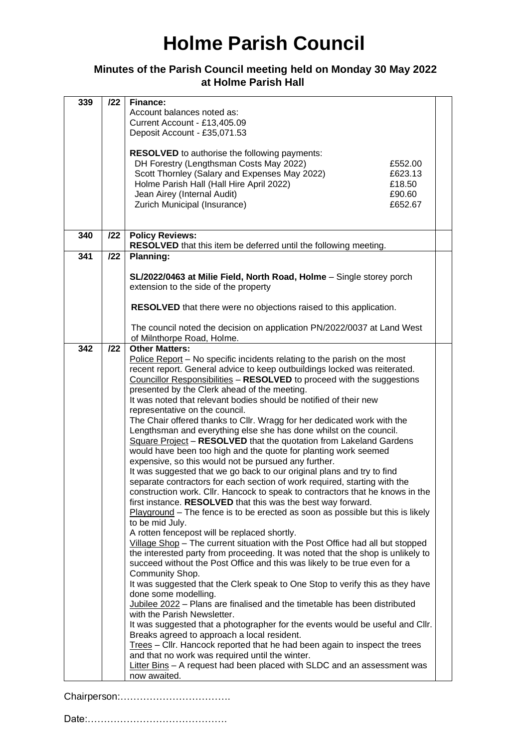# **Holme Parish Council**

### **Minutes of the Parish Council meeting held on Monday 30 May 2022 at Holme Parish Hall**

| 339 | 122 | Finance:                                                                                                       |  |
|-----|-----|----------------------------------------------------------------------------------------------------------------|--|
|     |     | Account balances noted as:                                                                                     |  |
|     |     | Current Account - £13,405.09                                                                                   |  |
|     |     | Deposit Account - £35,071.53                                                                                   |  |
|     |     |                                                                                                                |  |
|     |     | <b>RESOLVED</b> to authorise the following payments:                                                           |  |
|     |     | DH Forestry (Lengthsman Costs May 2022)<br>£552.00<br>Scott Thornley (Salary and Expenses May 2022)<br>£623.13 |  |
|     |     | Holme Parish Hall (Hall Hire April 2022)<br>£18.50                                                             |  |
|     |     | Jean Airey (Internal Audit)<br>£90.60                                                                          |  |
|     |     | Zurich Municipal (Insurance)<br>£652.67                                                                        |  |
|     |     |                                                                                                                |  |
|     |     |                                                                                                                |  |
| 340 | 122 | <b>Policy Reviews:</b>                                                                                         |  |
| 341 | 122 | RESOLVED that this item be deferred until the following meeting.<br>Planning:                                  |  |
|     |     |                                                                                                                |  |
|     |     | SL/2022/0463 at Milie Field, North Road, Holme - Single storey porch                                           |  |
|     |     | extension to the side of the property                                                                          |  |
|     |     |                                                                                                                |  |
|     |     | RESOLVED that there were no objections raised to this application.                                             |  |
|     |     | The council noted the decision on application PN/2022/0037 at Land West                                        |  |
|     |     | of Milnthorpe Road, Holme.                                                                                     |  |
| 342 | 122 | <b>Other Matters:</b>                                                                                          |  |
|     |     | Police Report - No specific incidents relating to the parish on the most                                       |  |
|     |     | recent report. General advice to keep outbuildings locked was reiterated.                                      |  |
|     |     | Councillor Responsibilities - RESOLVED to proceed with the suggestions                                         |  |
|     |     | presented by the Clerk ahead of the meeting.                                                                   |  |
|     |     | It was noted that relevant bodies should be notified of their new                                              |  |
|     |     | representative on the council.<br>The Chair offered thanks to Cllr. Wragg for her dedicated work with the      |  |
|     |     | Lengthsman and everything else she has done whilst on the council.                                             |  |
|     |     | Square Project - RESOLVED that the quotation from Lakeland Gardens                                             |  |
|     |     | would have been too high and the quote for planting work seemed                                                |  |
|     |     | expensive, so this would not be pursued any further.                                                           |  |
|     |     | It was suggested that we go back to our original plans and try to find                                         |  |
|     |     | separate contractors for each section of work required, starting with the                                      |  |
|     |     | construction work. Cllr. Hancock to speak to contractors that he knows in the                                  |  |
|     |     | first instance. RESOLVED that this was the best way forward.                                                   |  |
|     |     | $Playground$ – The fence is to be erected as soon as possible but this is likely<br>to be mid July.            |  |
|     |     | A rotten fencepost will be replaced shortly.                                                                   |  |
|     |     | Village Shop - The current situation with the Post Office had all but stopped                                  |  |
|     |     | the interested party from proceeding. It was noted that the shop is unlikely to                                |  |
|     |     | succeed without the Post Office and this was likely to be true even for a                                      |  |
|     |     | Community Shop.                                                                                                |  |
|     |     | It was suggested that the Clerk speak to One Stop to verify this as they have                                  |  |
|     |     | done some modelling.                                                                                           |  |
|     |     | Jubilee 2022 - Plans are finalised and the timetable has been distributed<br>with the Parish Newsletter.       |  |
|     |     | It was suggested that a photographer for the events would be useful and Cllr.                                  |  |
|     |     | Breaks agreed to approach a local resident.                                                                    |  |
|     |     | Trees - Cllr. Hancock reported that he had been again to inspect the trees                                     |  |
|     |     | and that no work was required until the winter.                                                                |  |
|     |     | Litter Bins - A request had been placed with SLDC and an assessment was                                        |  |
|     |     | now awaited.                                                                                                   |  |

Chairperson:…………………………….

Date:…………………………………….